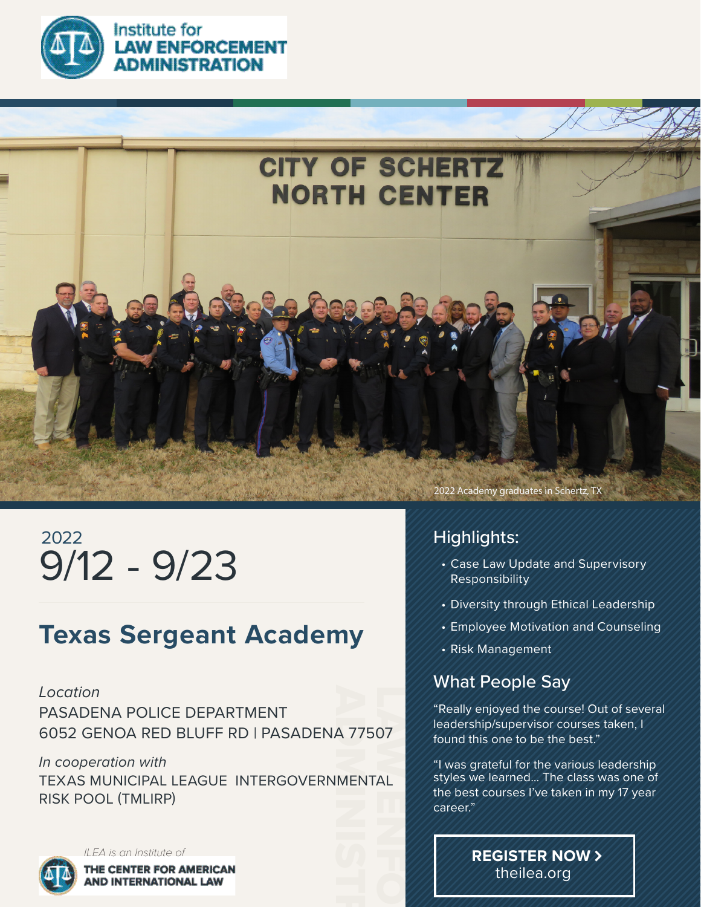

Institute for

**AW ENFORCEMENT MINISTRATION** 



# 9/12 - 9/23 2022

## **Texas Sergeant Academy**

A 77<br>MEN 07<br>AL<br>| *Location* PASADENA POLICE DEPARTMENT 6052 GENOA RED BLUFF RD | PASADENA 77507

*In cooperation with* TEXAS MUNICIPAL LEAGUE INTERGOVERNMENTAL RISK POOL (TMLIRP)



*ILEA is an Institute of* THE CENTER FOR AMERICAN AND INTERNATIONAL LAW

2022 Academy graduates in Schertz, TX

### Highlights:

- Case Law Update and Supervisory Responsibility
- Diversity through Ethical Leadership
- Employee Motivation and Counseling
- Risk Management

### What People Say

"Really enjoyed the course! Out of several leadership/supervisor courses taken, I found this one to be the best."

"I was grateful for the various leadership styles we learned... The class was one of the best courses I've taken in my 17 year career."

> **REGISTER NOW** theilea.org